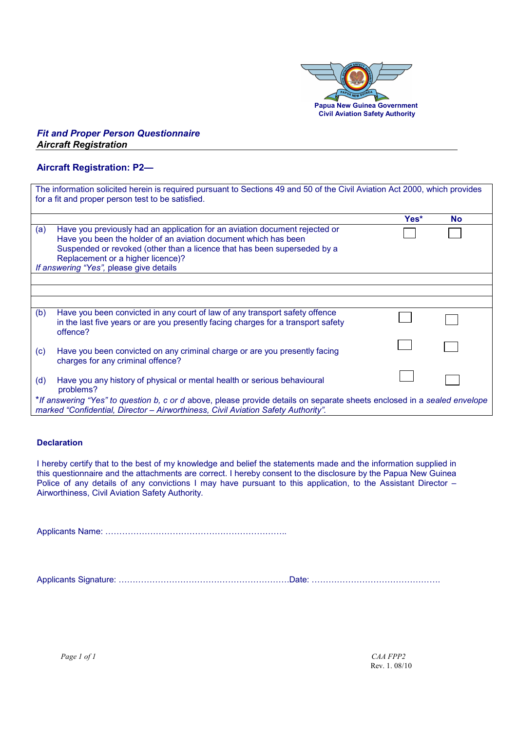

## *Fit and Proper Person Questionnaire Aircraft Registration*

## **Aircraft Registration: P2—**

| The information solicited herein is required pursuant to Sections 49 and 50 of the Civil Aviation Act 2000, which provides<br>for a fit and proper person test to be satisfied. |                                                                                   |      |           |  |
|---------------------------------------------------------------------------------------------------------------------------------------------------------------------------------|-----------------------------------------------------------------------------------|------|-----------|--|
|                                                                                                                                                                                 |                                                                                   |      |           |  |
|                                                                                                                                                                                 |                                                                                   | Yes* | <b>No</b> |  |
| (a)                                                                                                                                                                             | Have you previously had an application for an aviation document rejected or       |      |           |  |
|                                                                                                                                                                                 | Have you been the holder of an aviation document which has been                   |      |           |  |
|                                                                                                                                                                                 | Suspended or revoked (other than a licence that has been superseded by a          |      |           |  |
|                                                                                                                                                                                 | Replacement or a higher licence)?                                                 |      |           |  |
| If answering "Yes", please give details                                                                                                                                         |                                                                                   |      |           |  |
|                                                                                                                                                                                 |                                                                                   |      |           |  |
|                                                                                                                                                                                 |                                                                                   |      |           |  |
|                                                                                                                                                                                 |                                                                                   |      |           |  |
| (b)                                                                                                                                                                             | Have you been convicted in any court of law of any transport safety offence       |      |           |  |
|                                                                                                                                                                                 | in the last five years or are you presently facing charges for a transport safety |      |           |  |
|                                                                                                                                                                                 | offence?                                                                          |      |           |  |
|                                                                                                                                                                                 |                                                                                   |      |           |  |
| (c)                                                                                                                                                                             | Have you been convicted on any criminal charge or are you presently facing        |      |           |  |
|                                                                                                                                                                                 | charges for any criminal offence?                                                 |      |           |  |
|                                                                                                                                                                                 |                                                                                   |      |           |  |
| (d)                                                                                                                                                                             | Have you any history of physical or mental health or serious behavioural          |      |           |  |
|                                                                                                                                                                                 | problems?                                                                         |      |           |  |
| *If answering "Yes" to question b, c or d above, please provide details on separate sheets enclosed in a sealed envelope                                                        |                                                                                   |      |           |  |
| marked "Confidential, Director - Airworthiness, Civil Aviation Safety Authority".                                                                                               |                                                                                   |      |           |  |

## **Declaration**

I hereby certify that to the best of my knowledge and belief the statements made and the information supplied in this questionnaire and the attachments are correct. I hereby consent to the disclosure by the Papua New Guinea Police of any details of any convictions I may have pursuant to this application, to the Assistant Director – Airworthiness, Civil Aviation Safety Authority.

Applicants Name: 222222222222222222222..

Applicants Signature: 22222222222222222222.Date: 222222222222222.